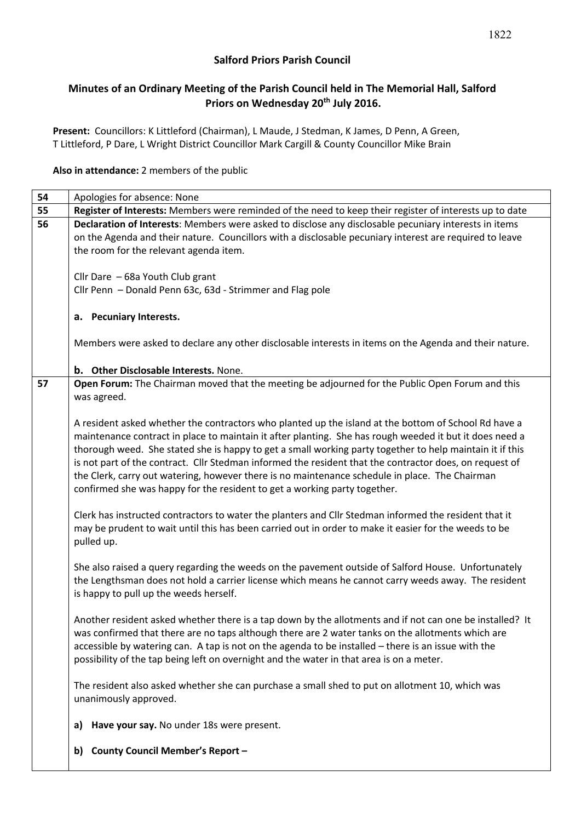## **Salford Priors Parish Council**

# **Minutes of an Ordinary Meeting of the Parish Council held in The Memorial Hall, Salford Priors on Wednesday 20th July 2016.**

**Present:** Councillors: K Littleford (Chairman), L Maude, J Stedman, K James, D Penn, A Green, T Littleford, P Dare, L Wright District Councillor Mark Cargill & County Councillor Mike Brain

## **Also in attendance:** 2 members of the public

| 54 | Apologies for absence: None                                                                                                                                                 |  |  |  |  |
|----|-----------------------------------------------------------------------------------------------------------------------------------------------------------------------------|--|--|--|--|
| 55 | Register of Interests: Members were reminded of the need to keep their register of interests up to date                                                                     |  |  |  |  |
| 56 | Declaration of Interests: Members were asked to disclose any disclosable pecuniary interests in items                                                                       |  |  |  |  |
|    | on the Agenda and their nature. Councillors with a disclosable pecuniary interest are required to leave                                                                     |  |  |  |  |
|    | the room for the relevant agenda item.                                                                                                                                      |  |  |  |  |
|    |                                                                                                                                                                             |  |  |  |  |
|    | Cllr Dare - 68a Youth Club grant                                                                                                                                            |  |  |  |  |
|    | Cllr Penn - Donald Penn 63c, 63d - Strimmer and Flag pole                                                                                                                   |  |  |  |  |
|    |                                                                                                                                                                             |  |  |  |  |
|    | a. Pecuniary Interests.                                                                                                                                                     |  |  |  |  |
|    | Members were asked to declare any other disclosable interests in items on the Agenda and their nature.                                                                      |  |  |  |  |
|    |                                                                                                                                                                             |  |  |  |  |
|    | b. Other Disclosable Interests. None.                                                                                                                                       |  |  |  |  |
| 57 | Open Forum: The Chairman moved that the meeting be adjourned for the Public Open Forum and this                                                                             |  |  |  |  |
|    | was agreed.                                                                                                                                                                 |  |  |  |  |
|    |                                                                                                                                                                             |  |  |  |  |
|    | A resident asked whether the contractors who planted up the island at the bottom of School Rd have a                                                                        |  |  |  |  |
|    | maintenance contract in place to maintain it after planting. She has rough weeded it but it does need a                                                                     |  |  |  |  |
|    | thorough weed. She stated she is happy to get a small working party together to help maintain it if this                                                                    |  |  |  |  |
|    | is not part of the contract. Cllr Stedman informed the resident that the contractor does, on request of                                                                     |  |  |  |  |
|    | the Clerk, carry out watering, however there is no maintenance schedule in place. The Chairman<br>confirmed she was happy for the resident to get a working party together. |  |  |  |  |
|    |                                                                                                                                                                             |  |  |  |  |
|    | Clerk has instructed contractors to water the planters and Cllr Stedman informed the resident that it                                                                       |  |  |  |  |
|    | may be prudent to wait until this has been carried out in order to make it easier for the weeds to be                                                                       |  |  |  |  |
|    | pulled up.                                                                                                                                                                  |  |  |  |  |
|    |                                                                                                                                                                             |  |  |  |  |
|    | She also raised a query regarding the weeds on the pavement outside of Salford House. Unfortunately                                                                         |  |  |  |  |
|    | the Lengthsman does not hold a carrier license which means he cannot carry weeds away. The resident                                                                         |  |  |  |  |
|    | is happy to pull up the weeds herself.                                                                                                                                      |  |  |  |  |
|    | Another resident asked whether there is a tap down by the allotments and if not can one be installed? It                                                                    |  |  |  |  |
|    | was confirmed that there are no taps although there are 2 water tanks on the allotments which are                                                                           |  |  |  |  |
|    | accessible by watering can. A tap is not on the agenda to be installed - there is an issue with the                                                                         |  |  |  |  |
|    | possibility of the tap being left on overnight and the water in that area is on a meter.                                                                                    |  |  |  |  |
|    |                                                                                                                                                                             |  |  |  |  |
|    | The resident also asked whether she can purchase a small shed to put on allotment 10, which was                                                                             |  |  |  |  |
|    | unanimously approved.                                                                                                                                                       |  |  |  |  |
|    |                                                                                                                                                                             |  |  |  |  |
|    | Have your say. No under 18s were present.<br>a)                                                                                                                             |  |  |  |  |
|    | <b>County Council Member's Report -</b>                                                                                                                                     |  |  |  |  |
|    | b)                                                                                                                                                                          |  |  |  |  |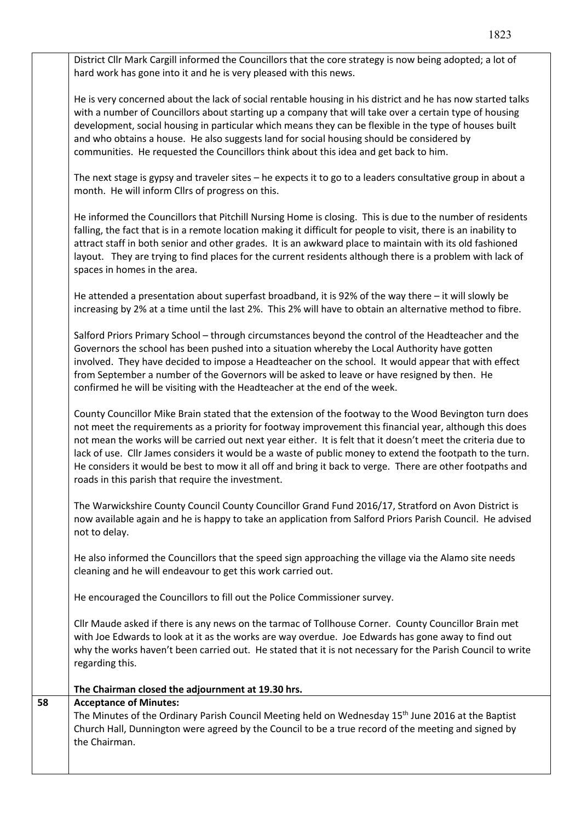District Cllr Mark Cargill informed the Councillors that the core strategy is now being adopted; a lot of hard work has gone into it and he is very pleased with this news.

He is very concerned about the lack of social rentable housing in his district and he has now started talks with a number of Councillors about starting up a company that will take over a certain type of housing development, social housing in particular which means they can be flexible in the type of houses built and who obtains a house. He also suggests land for social housing should be considered by communities. He requested the Councillors think about this idea and get back to him.

The next stage is gypsy and traveler sites – he expects it to go to a leaders consultative group in about a month. He will inform Cllrs of progress on this.

He informed the Councillors that Pitchill Nursing Home is closing. This is due to the number of residents falling, the fact that is in a remote location making it difficult for people to visit, there is an inability to attract staff in both senior and other grades. It is an awkward place to maintain with its old fashioned layout. They are trying to find places for the current residents although there is a problem with lack of spaces in homes in the area.

He attended a presentation about superfast broadband, it is 92% of the way there – it will slowly be increasing by 2% at a time until the last 2%. This 2% will have to obtain an alternative method to fibre.

Salford Priors Primary School – through circumstances beyond the control of the Headteacher and the Governors the school has been pushed into a situation whereby the Local Authority have gotten involved. They have decided to impose a Headteacher on the school. It would appear that with effect from September a number of the Governors will be asked to leave or have resigned by then. He confirmed he will be visiting with the Headteacher at the end of the week.

County Councillor Mike Brain stated that the extension of the footway to the Wood Bevington turn does not meet the requirements as a priority for footway improvement this financial year, although this does not mean the works will be carried out next year either. It is felt that it doesn't meet the criteria due to lack of use. Cllr James considers it would be a waste of public money to extend the footpath to the turn. He considers it would be best to mow it all off and bring it back to verge. There are other footpaths and roads in this parish that require the investment.

The Warwickshire County Council County Councillor Grand Fund 2016/17, Stratford on Avon District is now available again and he is happy to take an application from Salford Priors Parish Council. He advised not to delay.

He also informed the Councillors that the speed sign approaching the village via the Alamo site needs cleaning and he will endeavour to get this work carried out.

He encouraged the Councillors to fill out the Police Commissioner survey.

Cllr Maude asked if there is any news on the tarmac of Tollhouse Corner. County Councillor Brain met with Joe Edwards to look at it as the works are way overdue. Joe Edwards has gone away to find out why the works haven't been carried out. He stated that it is not necessary for the Parish Council to write regarding this.

| The Minutes of the Ordinary Parish Council Meeting held on Wednesday 15 <sup>th</sup> June 2016 at the Baptist<br>Church Hall, Dunnington were agreed by the Council to be a true record of the meeting and signed by |
|-----------------------------------------------------------------------------------------------------------------------------------------------------------------------------------------------------------------------|
|                                                                                                                                                                                                                       |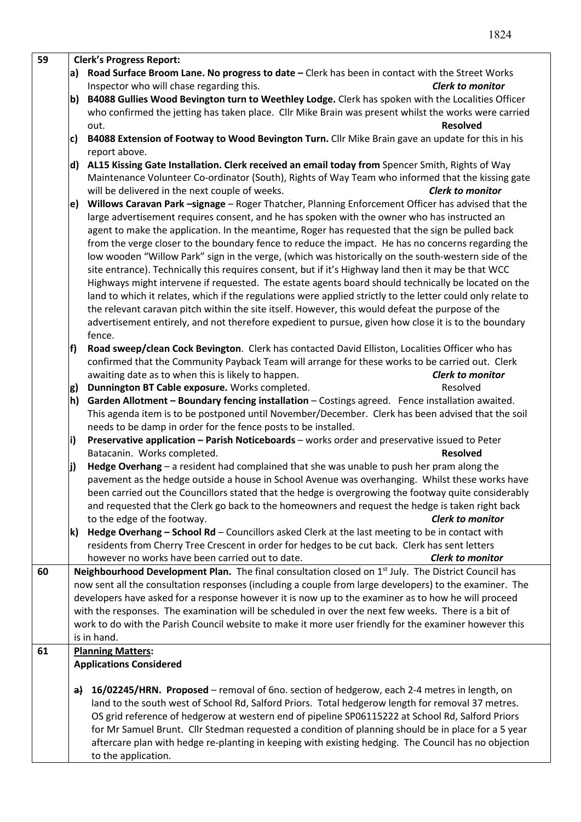| 59 |                                                                                                                 | <b>Clerk's Progress Report:</b>                                                                                                                                                                               |  |  |  |  |
|----|-----------------------------------------------------------------------------------------------------------------|---------------------------------------------------------------------------------------------------------------------------------------------------------------------------------------------------------------|--|--|--|--|
|    | a)                                                                                                              | Road Surface Broom Lane. No progress to date - Clerk has been in contact with the Street Works                                                                                                                |  |  |  |  |
|    |                                                                                                                 | Inspector who will chase regarding this.<br><b>Clerk to monitor</b>                                                                                                                                           |  |  |  |  |
|    | b)                                                                                                              | B4088 Gullies Wood Bevington turn to Weethley Lodge. Clerk has spoken with the Localities Officer                                                                                                             |  |  |  |  |
|    |                                                                                                                 | who confirmed the jetting has taken place. Cllr Mike Brain was present whilst the works were carried                                                                                                          |  |  |  |  |
|    |                                                                                                                 | <b>Resolved</b><br>out.                                                                                                                                                                                       |  |  |  |  |
|    | c)                                                                                                              | B4088 Extension of Footway to Wood Bevington Turn. Cllr Mike Brain gave an update for this in his                                                                                                             |  |  |  |  |
|    |                                                                                                                 | report above.                                                                                                                                                                                                 |  |  |  |  |
|    | d)                                                                                                              | AL15 Kissing Gate Installation. Clerk received an email today from Spencer Smith, Rights of Way                                                                                                               |  |  |  |  |
|    |                                                                                                                 | Maintenance Volunteer Co-ordinator (South), Rights of Way Team who informed that the kissing gate                                                                                                             |  |  |  |  |
|    |                                                                                                                 | will be delivered in the next couple of weeks.<br><b>Clerk to monitor</b>                                                                                                                                     |  |  |  |  |
|    | e)                                                                                                              | Willows Caravan Park -signage - Roger Thatcher, Planning Enforcement Officer has advised that the                                                                                                             |  |  |  |  |
|    |                                                                                                                 | large advertisement requires consent, and he has spoken with the owner who has instructed an                                                                                                                  |  |  |  |  |
|    |                                                                                                                 | agent to make the application. In the meantime, Roger has requested that the sign be pulled back                                                                                                              |  |  |  |  |
|    |                                                                                                                 | from the verge closer to the boundary fence to reduce the impact. He has no concerns regarding the                                                                                                            |  |  |  |  |
|    |                                                                                                                 | low wooden "Willow Park" sign in the verge, (which was historically on the south-western side of the                                                                                                          |  |  |  |  |
|    |                                                                                                                 | site entrance). Technically this requires consent, but if it's Highway land then it may be that WCC                                                                                                           |  |  |  |  |
|    |                                                                                                                 | Highways might intervene if requested. The estate agents board should technically be located on the                                                                                                           |  |  |  |  |
|    |                                                                                                                 | land to which it relates, which if the regulations were applied strictly to the letter could only relate to                                                                                                   |  |  |  |  |
|    |                                                                                                                 | the relevant caravan pitch within the site itself. However, this would defeat the purpose of the                                                                                                              |  |  |  |  |
|    |                                                                                                                 | advertisement entirely, and not therefore expedient to pursue, given how close it is to the boundary                                                                                                          |  |  |  |  |
|    |                                                                                                                 | fence.                                                                                                                                                                                                        |  |  |  |  |
|    | f)                                                                                                              | Road sweep/clean Cock Bevington. Clerk has contacted David Elliston, Localities Officer who has                                                                                                               |  |  |  |  |
|    |                                                                                                                 | confirmed that the Community Payback Team will arrange for these works to be carried out. Clerk                                                                                                               |  |  |  |  |
|    |                                                                                                                 | awaiting date as to when this is likely to happen.<br><b>Clerk to monitor</b>                                                                                                                                 |  |  |  |  |
|    | g)                                                                                                              | Dunnington BT Cable exposure. Works completed.<br>Resolved                                                                                                                                                    |  |  |  |  |
|    | Garden Allotment - Boundary fencing installation - Costings agreed. Fence installation awaited.<br>$\mathsf{h}$ |                                                                                                                                                                                                               |  |  |  |  |
|    | This agenda item is to be postponed until November/December. Clerk has been advised that the soil               |                                                                                                                                                                                                               |  |  |  |  |
|    | needs to be damp in order for the fence posts to be installed.                                                  |                                                                                                                                                                                                               |  |  |  |  |
|    | i)                                                                                                              | Preservative application - Parish Noticeboards - works order and preservative issued to Peter                                                                                                                 |  |  |  |  |
|    |                                                                                                                 | <b>Resolved</b><br>Batacanin. Works completed.                                                                                                                                                                |  |  |  |  |
|    | Hedge Overhang - a resident had complained that she was unable to push her pram along the<br>j)                 |                                                                                                                                                                                                               |  |  |  |  |
|    |                                                                                                                 | pavement as the hedge outside a house in School Avenue was overhanging. Whilst these works have                                                                                                               |  |  |  |  |
|    |                                                                                                                 | been carried out the Councillors stated that the hedge is overgrowing the footway quite considerably                                                                                                          |  |  |  |  |
|    |                                                                                                                 | and requested that the Clerk go back to the homeowners and request the hedge is taken right back                                                                                                              |  |  |  |  |
|    |                                                                                                                 | to the edge of the footway.<br><b>Clerk to monitor</b>                                                                                                                                                        |  |  |  |  |
|    | k)                                                                                                              | Hedge Overhang - School Rd - Councillors asked Clerk at the last meeting to be in contact with                                                                                                                |  |  |  |  |
|    |                                                                                                                 | residents from Cherry Tree Crescent in order for hedges to be cut back. Clerk has sent letters                                                                                                                |  |  |  |  |
|    |                                                                                                                 | however no works have been carried out to date.<br><b>Clerk to monitor</b>                                                                                                                                    |  |  |  |  |
| 60 |                                                                                                                 | Neighbourhood Development Plan. The final consultation closed on 1 <sup>st</sup> July. The District Council has                                                                                               |  |  |  |  |
|    |                                                                                                                 | now sent all the consultation responses (including a couple from large developers) to the examiner. The                                                                                                       |  |  |  |  |
|    |                                                                                                                 | developers have asked for a response however it is now up to the examiner as to how he will proceed                                                                                                           |  |  |  |  |
|    |                                                                                                                 | with the responses. The examination will be scheduled in over the next few weeks. There is a bit of<br>work to do with the Parish Council website to make it more user friendly for the examiner however this |  |  |  |  |
|    |                                                                                                                 | is in hand.                                                                                                                                                                                                   |  |  |  |  |
| 61 |                                                                                                                 | <b>Planning Matters:</b>                                                                                                                                                                                      |  |  |  |  |
|    |                                                                                                                 | <b>Applications Considered</b>                                                                                                                                                                                |  |  |  |  |
|    |                                                                                                                 |                                                                                                                                                                                                               |  |  |  |  |
|    |                                                                                                                 | $\frac{1}{2}$ 16/02245/HRN. Proposed – removal of 6no. section of hedgerow, each 2-4 metres in length, on                                                                                                     |  |  |  |  |
|    |                                                                                                                 | land to the south west of School Rd, Salford Priors. Total hedgerow length for removal 37 metres.                                                                                                             |  |  |  |  |
|    |                                                                                                                 | OS grid reference of hedgerow at western end of pipeline SP06115222 at School Rd, Salford Priors                                                                                                              |  |  |  |  |
|    | for Mr Samuel Brunt. Cllr Stedman requested a condition of planning should be in place for a 5 year             |                                                                                                                                                                                                               |  |  |  |  |
|    | aftercare plan with hedge re-planting in keeping with existing hedging. The Council has no objection            |                                                                                                                                                                                                               |  |  |  |  |
|    |                                                                                                                 | to the application.                                                                                                                                                                                           |  |  |  |  |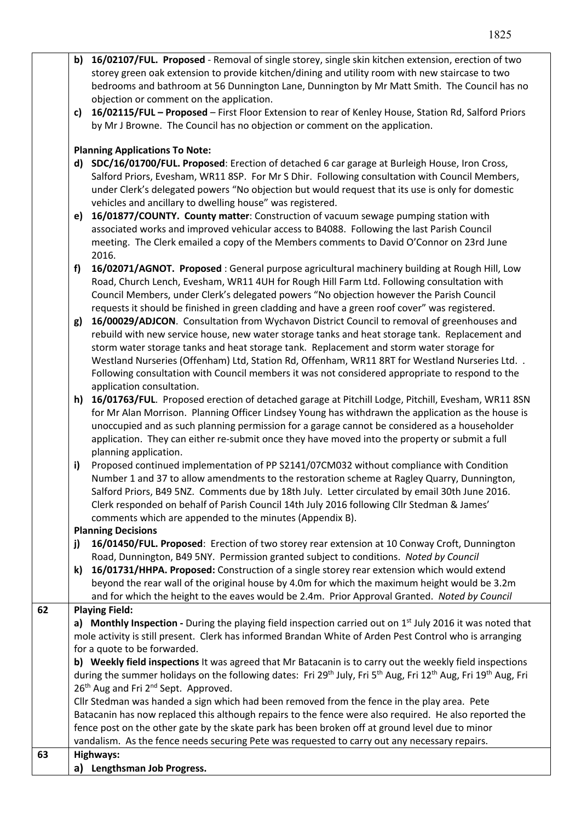|    | b) 16/02107/FUL. Proposed - Removal of single storey, single skin kitchen extension, erection of two                                                                                                          |  |  |  |
|----|---------------------------------------------------------------------------------------------------------------------------------------------------------------------------------------------------------------|--|--|--|
|    | storey green oak extension to provide kitchen/dining and utility room with new staircase to two                                                                                                               |  |  |  |
|    | bedrooms and bathroom at 56 Dunnington Lane, Dunnington by Mr Matt Smith. The Council has no                                                                                                                  |  |  |  |
|    | objection or comment on the application.                                                                                                                                                                      |  |  |  |
|    | 16/02115/FUL - Proposed - First Floor Extension to rear of Kenley House, Station Rd, Salford Priors<br>c)                                                                                                     |  |  |  |
|    | by Mr J Browne. The Council has no objection or comment on the application.                                                                                                                                   |  |  |  |
|    | <b>Planning Applications To Note:</b>                                                                                                                                                                         |  |  |  |
|    | SDC/16/01700/FUL. Proposed: Erection of detached 6 car garage at Burleigh House, Iron Cross,<br>d)                                                                                                            |  |  |  |
|    | Salford Priors, Evesham, WR11 8SP. For Mr S Dhir. Following consultation with Council Members,                                                                                                                |  |  |  |
|    | under Clerk's delegated powers "No objection but would request that its use is only for domestic                                                                                                              |  |  |  |
|    | vehicles and ancillary to dwelling house" was registered.                                                                                                                                                     |  |  |  |
|    | 16/01877/COUNTY. County matter: Construction of vacuum sewage pumping station with<br>e)                                                                                                                      |  |  |  |
|    | associated works and improved vehicular access to B4088. Following the last Parish Council                                                                                                                    |  |  |  |
|    | meeting. The Clerk emailed a copy of the Members comments to David O'Connor on 23rd June                                                                                                                      |  |  |  |
|    | 2016.                                                                                                                                                                                                         |  |  |  |
|    | 16/02071/AGNOT. Proposed: General purpose agricultural machinery building at Rough Hill, Low<br>f)                                                                                                            |  |  |  |
|    | Road, Church Lench, Evesham, WR11 4UH for Rough Hill Farm Ltd. Following consultation with                                                                                                                    |  |  |  |
|    | Council Members, under Clerk's delegated powers "No objection however the Parish Council                                                                                                                      |  |  |  |
|    | requests it should be finished in green cladding and have a green roof cover" was registered.                                                                                                                 |  |  |  |
|    | 16/00029/ADJCON. Consultation from Wychavon District Council to removal of greenhouses and<br>g)                                                                                                              |  |  |  |
|    | rebuild with new service house, new water storage tanks and heat storage tank. Replacement and                                                                                                                |  |  |  |
|    | storm water storage tanks and heat storage tank. Replacement and storm water storage for                                                                                                                      |  |  |  |
|    | Westland Nurseries (Offenham) Ltd, Station Rd, Offenham, WR11 8RT for Westland Nurseries Ltd. .                                                                                                               |  |  |  |
|    | Following consultation with Council members it was not considered appropriate to respond to the                                                                                                               |  |  |  |
|    | application consultation.                                                                                                                                                                                     |  |  |  |
|    | 16/01763/FUL. Proposed erection of detached garage at Pitchill Lodge, Pitchill, Evesham, WR11 8SN<br>h)<br>for Mr Alan Morrison. Planning Officer Lindsey Young has withdrawn the application as the house is |  |  |  |
|    | unoccupied and as such planning permission for a garage cannot be considered as a householder                                                                                                                 |  |  |  |
|    | application. They can either re-submit once they have moved into the property or submit a full                                                                                                                |  |  |  |
|    | planning application.                                                                                                                                                                                         |  |  |  |
|    | Proposed continued implementation of PP S2141/07CM032 without compliance with Condition<br>i)                                                                                                                 |  |  |  |
|    | Number 1 and 37 to allow amendments to the restoration scheme at Ragley Quarry, Dunnington,                                                                                                                   |  |  |  |
|    | Salford Priors, B49 5NZ. Comments due by 18th July. Letter circulated by email 30th June 2016.                                                                                                                |  |  |  |
|    | Clerk responded on behalf of Parish Council 14th July 2016 following Cllr Stedman & James'                                                                                                                    |  |  |  |
|    | comments which are appended to the minutes (Appendix B).                                                                                                                                                      |  |  |  |
|    | <b>Planning Decisions</b>                                                                                                                                                                                     |  |  |  |
|    | 16/01450/FUL. Proposed: Erection of two storey rear extension at 10 Conway Croft, Dunnington<br>j)                                                                                                            |  |  |  |
|    | Road, Dunnington, B49 5NY. Permission granted subject to conditions. Noted by Council                                                                                                                         |  |  |  |
|    | 16/01731/HHPA. Proposed: Construction of a single storey rear extension which would extend<br>k)                                                                                                              |  |  |  |
|    | beyond the rear wall of the original house by 4.0m for which the maximum height would be 3.2m                                                                                                                 |  |  |  |
|    | and for which the height to the eaves would be 2.4m. Prior Approval Granted. Noted by Council                                                                                                                 |  |  |  |
| 62 | <b>Playing Field:</b><br>a) Monthly Inspection - During the playing field inspection carried out on 1 <sup>st</sup> July 2016 it was noted that                                                               |  |  |  |
|    | mole activity is still present. Clerk has informed Brandan White of Arden Pest Control who is arranging                                                                                                       |  |  |  |
|    | for a quote to be forwarded.                                                                                                                                                                                  |  |  |  |
|    | b) Weekly field inspections It was agreed that Mr Batacanin is to carry out the weekly field inspections                                                                                                      |  |  |  |
|    | during the summer holidays on the following dates: Fri 29 <sup>th</sup> July, Fri 5 <sup>th</sup> Aug, Fri 12 <sup>th</sup> Aug, Fri 19 <sup>th</sup> Aug, Fri                                                |  |  |  |
|    | 26 <sup>th</sup> Aug and Fri 2 <sup>nd</sup> Sept. Approved.                                                                                                                                                  |  |  |  |
|    | Cllr Stedman was handed a sign which had been removed from the fence in the play area. Pete                                                                                                                   |  |  |  |
|    | Batacanin has now replaced this although repairs to the fence were also required. He also reported the                                                                                                        |  |  |  |
|    | fence post on the other gate by the skate park has been broken off at ground level due to minor                                                                                                               |  |  |  |
|    | vandalism. As the fence needs securing Pete was requested to carry out any necessary repairs.                                                                                                                 |  |  |  |
| 63 | Highways:                                                                                                                                                                                                     |  |  |  |
|    | Lengthsman Job Progress.<br>a)                                                                                                                                                                                |  |  |  |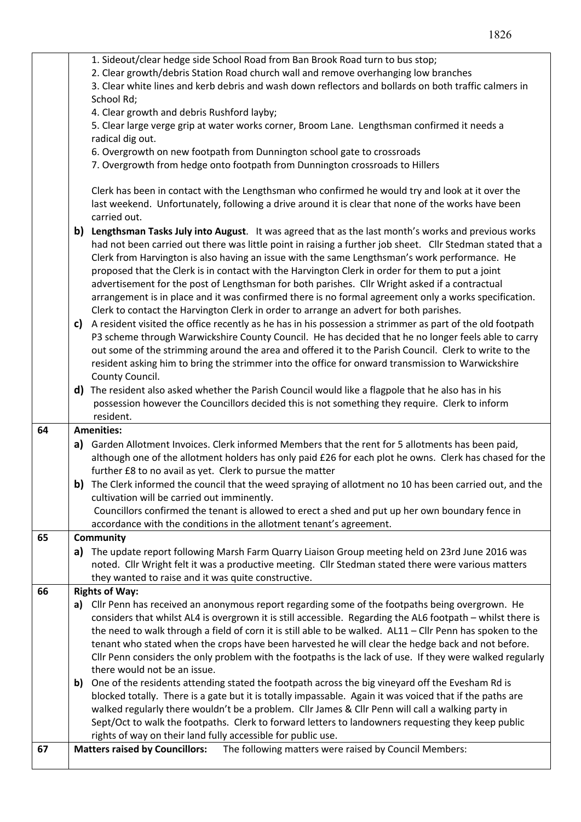|    | 1. Sideout/clear hedge side School Road from Ban Brook Road turn to bus stop;                                   |  |  |  |
|----|-----------------------------------------------------------------------------------------------------------------|--|--|--|
|    | 2. Clear growth/debris Station Road church wall and remove overhanging low branches                             |  |  |  |
|    | 3. Clear white lines and kerb debris and wash down reflectors and bollards on both traffic calmers in           |  |  |  |
|    | School Rd;                                                                                                      |  |  |  |
|    | 4. Clear growth and debris Rushford layby;                                                                      |  |  |  |
|    | 5. Clear large verge grip at water works corner, Broom Lane. Lengthsman confirmed it needs a                    |  |  |  |
|    | radical dig out.                                                                                                |  |  |  |
|    | 6. Overgrowth on new footpath from Dunnington school gate to crossroads                                         |  |  |  |
|    | 7. Overgrowth from hedge onto footpath from Dunnington crossroads to Hillers                                    |  |  |  |
|    |                                                                                                                 |  |  |  |
|    | Clerk has been in contact with the Lengthsman who confirmed he would try and look at it over the                |  |  |  |
|    | last weekend. Unfortunately, following a drive around it is clear that none of the works have been              |  |  |  |
|    | carried out.                                                                                                    |  |  |  |
|    | b) Lengthsman Tasks July into August. It was agreed that as the last month's works and previous works           |  |  |  |
|    | had not been carried out there was little point in raising a further job sheet. Cllr Stedman stated that a      |  |  |  |
|    | Clerk from Harvington is also having an issue with the same Lengthsman's work performance. He                   |  |  |  |
|    | proposed that the Clerk is in contact with the Harvington Clerk in order for them to put a joint                |  |  |  |
|    | advertisement for the post of Lengthsman for both parishes. Cllr Wright asked if a contractual                  |  |  |  |
|    | arrangement is in place and it was confirmed there is no formal agreement only a works specification.           |  |  |  |
|    | Clerk to contact the Harvington Clerk in order to arrange an advert for both parishes.                          |  |  |  |
|    | A resident visited the office recently as he has in his possession a strimmer as part of the old footpath<br>c) |  |  |  |
|    | P3 scheme through Warwickshire County Council. He has decided that he no longer feels able to carry             |  |  |  |
|    | out some of the strimming around the area and offered it to the Parish Council. Clerk to write to the           |  |  |  |
|    | resident asking him to bring the strimmer into the office for onward transmission to Warwickshire               |  |  |  |
|    | County Council.                                                                                                 |  |  |  |
|    | d) The resident also asked whether the Parish Council would like a flagpole that he also has in his             |  |  |  |
|    | possession however the Councillors decided this is not something they require. Clerk to inform                  |  |  |  |
|    | resident.                                                                                                       |  |  |  |
| 64 | <b>Amenities:</b>                                                                                               |  |  |  |
|    | a) Garden Allotment Invoices. Clerk informed Members that the rent for 5 allotments has been paid,              |  |  |  |
|    | although one of the allotment holders has only paid £26 for each plot he owns. Clerk has chased for the         |  |  |  |
|    | further £8 to no avail as yet. Clerk to pursue the matter                                                       |  |  |  |
|    | b) The Clerk informed the council that the weed spraying of allotment no 10 has been carried out, and the       |  |  |  |
|    | cultivation will be carried out imminently.                                                                     |  |  |  |
|    | Councillors confirmed the tenant is allowed to erect a shed and put up her own boundary fence in                |  |  |  |
|    | accordance with the conditions in the allotment tenant's agreement.                                             |  |  |  |
| 65 | <b>Community</b>                                                                                                |  |  |  |
|    | a) The update report following Marsh Farm Quarry Liaison Group meeting held on 23rd June 2016 was               |  |  |  |
|    | noted. Cllr Wright felt it was a productive meeting. Cllr Stedman stated there were various matters             |  |  |  |
| 66 | they wanted to raise and it was quite constructive.<br><b>Rights of Way:</b>                                    |  |  |  |
|    | Cllr Penn has received an anonymous report regarding some of the footpaths being overgrown. He<br>a)            |  |  |  |
|    | considers that whilst AL4 is overgrown it is still accessible. Regarding the AL6 footpath - whilst there is     |  |  |  |
|    | the need to walk through a field of corn it is still able to be walked. AL11 - Cllr Penn has spoken to the      |  |  |  |
|    | tenant who stated when the crops have been harvested he will clear the hedge back and not before.               |  |  |  |
|    | Cllr Penn considers the only problem with the footpaths is the lack of use. If they were walked regularly       |  |  |  |
|    | there would not be an issue.                                                                                    |  |  |  |
|    | b) One of the residents attending stated the footpath across the big vineyard off the Evesham Rd is             |  |  |  |
|    | blocked totally. There is a gate but it is totally impassable. Again it was voiced that if the paths are        |  |  |  |
|    | walked regularly there wouldn't be a problem. Cllr James & Cllr Penn will call a walking party in               |  |  |  |
|    | Sept/Oct to walk the footpaths. Clerk to forward letters to landowners requesting they keep public              |  |  |  |
|    | rights of way on their land fully accessible for public use.                                                    |  |  |  |
| 67 | <b>Matters raised by Councillors:</b><br>The following matters were raised by Council Members:                  |  |  |  |
|    |                                                                                                                 |  |  |  |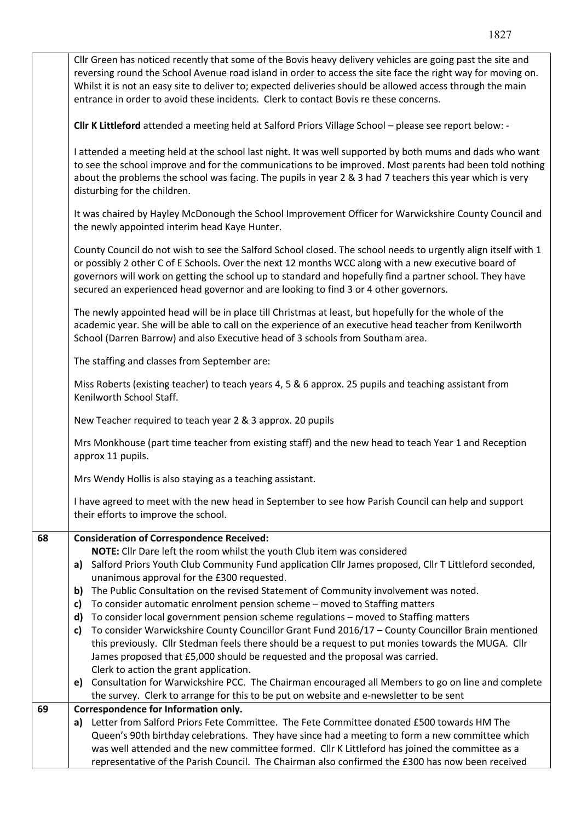|                                                                                                                                                                                                                                                                                                                                                                                                                         | Queen's 90th birthday celebrations. They have since had a meeting to form a new committee which<br>was well attended and the new committee formed. Cllr K Littleford has joined the committee as a<br>representative of the Parish Council. The Chairman also confirmed the £300 has now been received                                                                                                                           |  |  |                                              |  |
|-------------------------------------------------------------------------------------------------------------------------------------------------------------------------------------------------------------------------------------------------------------------------------------------------------------------------------------------------------------------------------------------------------------------------|----------------------------------------------------------------------------------------------------------------------------------------------------------------------------------------------------------------------------------------------------------------------------------------------------------------------------------------------------------------------------------------------------------------------------------|--|--|----------------------------------------------|--|
|                                                                                                                                                                                                                                                                                                                                                                                                                         | a) Letter from Salford Priors Fete Committee. The Fete Committee donated £500 towards HM The                                                                                                                                                                                                                                                                                                                                     |  |  |                                              |  |
| 69                                                                                                                                                                                                                                                                                                                                                                                                                      | Correspondence for Information only.                                                                                                                                                                                                                                                                                                                                                                                             |  |  |                                              |  |
|                                                                                                                                                                                                                                                                                                                                                                                                                         | the survey. Clerk to arrange for this to be put on website and e-newsletter to be sent                                                                                                                                                                                                                                                                                                                                           |  |  |                                              |  |
|                                                                                                                                                                                                                                                                                                                                                                                                                         | Consultation for Warwickshire PCC. The Chairman encouraged all Members to go on line and complete<br>e)                                                                                                                                                                                                                                                                                                                          |  |  |                                              |  |
|                                                                                                                                                                                                                                                                                                                                                                                                                         | Clerk to action the grant application.                                                                                                                                                                                                                                                                                                                                                                                           |  |  |                                              |  |
|                                                                                                                                                                                                                                                                                                                                                                                                                         | this previously. Cllr Stedman feels there should be a request to put monies towards the MUGA. Cllr<br>James proposed that £5,000 should be requested and the proposal was carried.                                                                                                                                                                                                                                               |  |  |                                              |  |
|                                                                                                                                                                                                                                                                                                                                                                                                                         | To consider Warwickshire County Councillor Grant Fund 2016/17 - County Councillor Brain mentioned<br>c)                                                                                                                                                                                                                                                                                                                          |  |  |                                              |  |
|                                                                                                                                                                                                                                                                                                                                                                                                                         | To consider local government pension scheme regulations - moved to Staffing matters<br>d)                                                                                                                                                                                                                                                                                                                                        |  |  |                                              |  |
|                                                                                                                                                                                                                                                                                                                                                                                                                         | To consider automatic enrolment pension scheme - moved to Staffing matters<br>c)                                                                                                                                                                                                                                                                                                                                                 |  |  |                                              |  |
|                                                                                                                                                                                                                                                                                                                                                                                                                         | The Public Consultation on the revised Statement of Community involvement was noted.<br>b)                                                                                                                                                                                                                                                                                                                                       |  |  |                                              |  |
|                                                                                                                                                                                                                                                                                                                                                                                                                         | unanimous approval for the £300 requested.                                                                                                                                                                                                                                                                                                                                                                                       |  |  |                                              |  |
|                                                                                                                                                                                                                                                                                                                                                                                                                         | NOTE: Cllr Dare left the room whilst the youth Club item was considered<br>Salford Priors Youth Club Community Fund application Cllr James proposed, Cllr T Littleford seconded,<br>a)                                                                                                                                                                                                                                           |  |  |                                              |  |
| 68                                                                                                                                                                                                                                                                                                                                                                                                                      | <b>Consideration of Correspondence Received:</b>                                                                                                                                                                                                                                                                                                                                                                                 |  |  |                                              |  |
|                                                                                                                                                                                                                                                                                                                                                                                                                         | their efforts to improve the school.                                                                                                                                                                                                                                                                                                                                                                                             |  |  |                                              |  |
|                                                                                                                                                                                                                                                                                                                                                                                                                         | I have agreed to meet with the new head in September to see how Parish Council can help and support                                                                                                                                                                                                                                                                                                                              |  |  |                                              |  |
|                                                                                                                                                                                                                                                                                                                                                                                                                         | Mrs Wendy Hollis is also staying as a teaching assistant.                                                                                                                                                                                                                                                                                                                                                                        |  |  |                                              |  |
|                                                                                                                                                                                                                                                                                                                                                                                                                         | approx 11 pupils.                                                                                                                                                                                                                                                                                                                                                                                                                |  |  |                                              |  |
|                                                                                                                                                                                                                                                                                                                                                                                                                         | Mrs Monkhouse (part time teacher from existing staff) and the new head to teach Year 1 and Reception                                                                                                                                                                                                                                                                                                                             |  |  |                                              |  |
| Miss Roberts (existing teacher) to teach years 4, 5 & 6 approx. 25 pupils and teaching assistant from<br>Kenilworth School Staff.<br>New Teacher required to teach year 2 & 3 approx. 20 pupils                                                                                                                                                                                                                         |                                                                                                                                                                                                                                                                                                                                                                                                                                  |  |  |                                              |  |
|                                                                                                                                                                                                                                                                                                                                                                                                                         |                                                                                                                                                                                                                                                                                                                                                                                                                                  |  |  | The staffing and classes from September are: |  |
|                                                                                                                                                                                                                                                                                                                                                                                                                         | The newly appointed head will be in place till Christmas at least, but hopefully for the whole of the<br>academic year. She will be able to call on the experience of an executive head teacher from Kenilworth<br>School (Darren Barrow) and also Executive head of 3 schools from Southam area.                                                                                                                                |  |  |                                              |  |
| County Council do not wish to see the Salford School closed. The school needs to urgently align itself with 1<br>or possibly 2 other C of E Schools. Over the next 12 months WCC along with a new executive board of<br>governors will work on getting the school up to standard and hopefully find a partner school. They have<br>secured an experienced head governor and are looking to find 3 or 4 other governors. |                                                                                                                                                                                                                                                                                                                                                                                                                                  |  |  |                                              |  |
|                                                                                                                                                                                                                                                                                                                                                                                                                         | It was chaired by Hayley McDonough the School Improvement Officer for Warwickshire County Council and<br>the newly appointed interim head Kaye Hunter.                                                                                                                                                                                                                                                                           |  |  |                                              |  |
|                                                                                                                                                                                                                                                                                                                                                                                                                         | I attended a meeting held at the school last night. It was well supported by both mums and dads who want<br>to see the school improve and for the communications to be improved. Most parents had been told nothing<br>about the problems the school was facing. The pupils in year 2 & 3 had 7 teachers this year which is very<br>disturbing for the children.                                                                 |  |  |                                              |  |
|                                                                                                                                                                                                                                                                                                                                                                                                                         | Cllr K Littleford attended a meeting held at Salford Priors Village School - please see report below: -                                                                                                                                                                                                                                                                                                                          |  |  |                                              |  |
|                                                                                                                                                                                                                                                                                                                                                                                                                         | Cllr Green has noticed recently that some of the Bovis heavy delivery vehicles are going past the site and<br>reversing round the School Avenue road island in order to access the site face the right way for moving on.<br>Whilst it is not an easy site to deliver to; expected deliveries should be allowed access through the main<br>entrance in order to avoid these incidents. Clerk to contact Bovis re these concerns. |  |  |                                              |  |
|                                                                                                                                                                                                                                                                                                                                                                                                                         |                                                                                                                                                                                                                                                                                                                                                                                                                                  |  |  |                                              |  |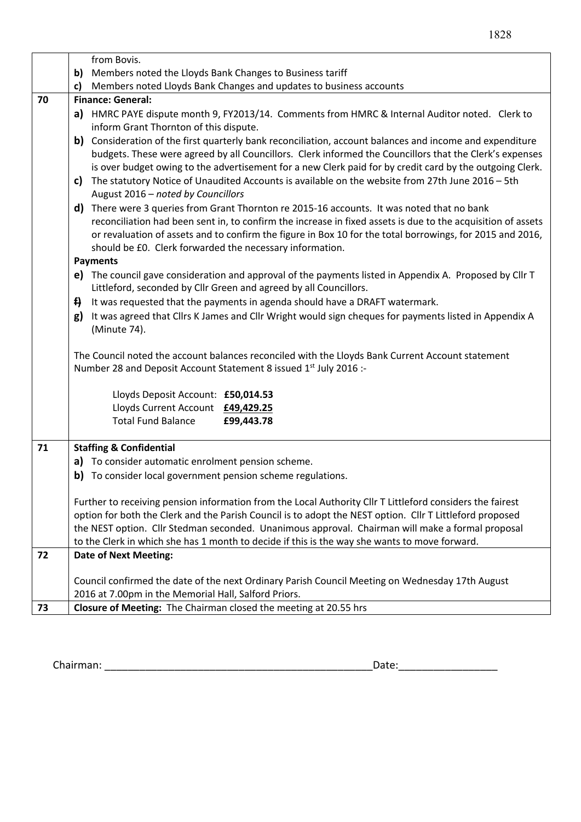|    | from Bovis.                                                                                                                                                                       |  |  |  |  |
|----|-----------------------------------------------------------------------------------------------------------------------------------------------------------------------------------|--|--|--|--|
|    | Members noted the Lloyds Bank Changes to Business tariff<br>b)                                                                                                                    |  |  |  |  |
|    | Members noted Lloyds Bank Changes and updates to business accounts                                                                                                                |  |  |  |  |
| 70 | <b>Finance: General:</b>                                                                                                                                                          |  |  |  |  |
|    | a) HMRC PAYE dispute month 9, FY2013/14. Comments from HMRC & Internal Auditor noted. Clerk to                                                                                    |  |  |  |  |
|    | inform Grant Thornton of this dispute.                                                                                                                                            |  |  |  |  |
|    | b)<br>Consideration of the first quarterly bank reconciliation, account balances and income and expenditure                                                                       |  |  |  |  |
|    | budgets. These were agreed by all Councillors. Clerk informed the Councillors that the Clerk's expenses                                                                           |  |  |  |  |
|    | is over budget owing to the advertisement for a new Clerk paid for by credit card by the outgoing Clerk.                                                                          |  |  |  |  |
|    | The statutory Notice of Unaudited Accounts is available on the website from 27th June 2016 - 5th<br>C)                                                                            |  |  |  |  |
|    | August 2016 - noted by Councillors                                                                                                                                                |  |  |  |  |
|    | d) There were 3 queries from Grant Thornton re 2015-16 accounts. It was noted that no bank                                                                                        |  |  |  |  |
|    | reconciliation had been sent in, to confirm the increase in fixed assets is due to the acquisition of assets                                                                      |  |  |  |  |
|    | or revaluation of assets and to confirm the figure in Box 10 for the total borrowings, for 2015 and 2016,                                                                         |  |  |  |  |
|    | should be £0. Clerk forwarded the necessary information.                                                                                                                          |  |  |  |  |
|    | <b>Payments</b>                                                                                                                                                                   |  |  |  |  |
|    | e) The council gave consideration and approval of the payments listed in Appendix A. Proposed by Cllr T                                                                           |  |  |  |  |
|    | Littleford, seconded by Cllr Green and agreed by all Councillors.                                                                                                                 |  |  |  |  |
|    | $\ddot{H}$<br>It was requested that the payments in agenda should have a DRAFT watermark.                                                                                         |  |  |  |  |
|    | It was agreed that Cllrs K James and Cllr Wright would sign cheques for payments listed in Appendix A<br>g)                                                                       |  |  |  |  |
|    | (Minute 74).                                                                                                                                                                      |  |  |  |  |
|    |                                                                                                                                                                                   |  |  |  |  |
|    | The Council noted the account balances reconciled with the Lloyds Bank Current Account statement<br>Number 28 and Deposit Account Statement 8 issued 1 <sup>st</sup> July 2016 :- |  |  |  |  |
|    |                                                                                                                                                                                   |  |  |  |  |
|    | Lloyds Deposit Account: £50,014.53                                                                                                                                                |  |  |  |  |
|    | Lloyds Current Account £49,429.25                                                                                                                                                 |  |  |  |  |
|    | <b>Total Fund Balance</b><br>£99,443.78                                                                                                                                           |  |  |  |  |
|    |                                                                                                                                                                                   |  |  |  |  |
| 71 | <b>Staffing &amp; Confidential</b>                                                                                                                                                |  |  |  |  |
|    | To consider automatic enrolment pension scheme.<br>a)                                                                                                                             |  |  |  |  |
|    | To consider local government pension scheme regulations.<br>b)                                                                                                                    |  |  |  |  |
|    |                                                                                                                                                                                   |  |  |  |  |
|    | Further to receiving pension information from the Local Authority Cllr T Littleford considers the fairest                                                                         |  |  |  |  |
|    | option for both the Clerk and the Parish Council is to adopt the NEST option. Cllr T Littleford proposed                                                                          |  |  |  |  |
|    | the NEST option. Cllr Stedman seconded. Unanimous approval. Chairman will make a formal proposal                                                                                  |  |  |  |  |
| 72 | to the Clerk in which she has 1 month to decide if this is the way she wants to move forward.                                                                                     |  |  |  |  |
|    | <b>Date of Next Meeting:</b>                                                                                                                                                      |  |  |  |  |
|    | Council confirmed the date of the next Ordinary Parish Council Meeting on Wednesday 17th August                                                                                   |  |  |  |  |
|    | 2016 at 7.00pm in the Memorial Hall, Salford Priors.                                                                                                                              |  |  |  |  |
| 73 | Closure of Meeting: The Chairman closed the meeting at 20.55 hrs                                                                                                                  |  |  |  |  |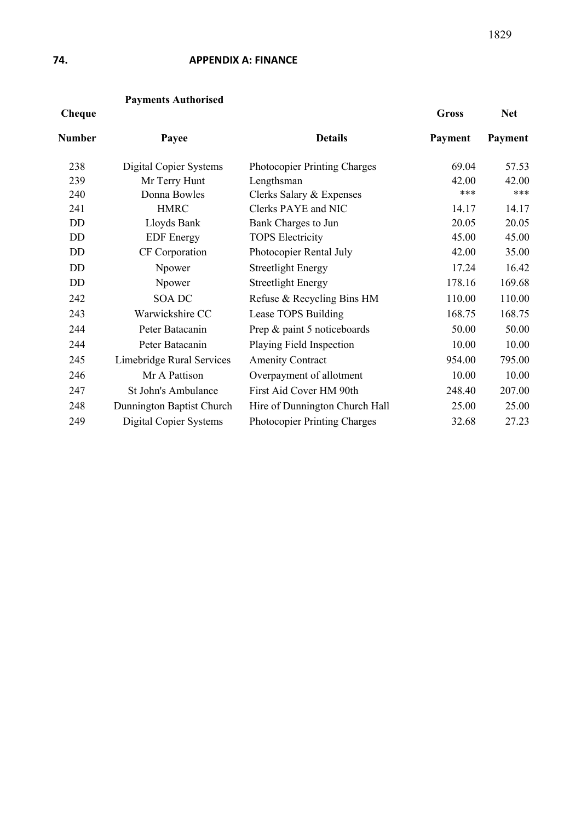## **74. APPENDIX A: FINANCE**

# **Payments Authorised**

#### **Cheque Gross Net**

| Number | Payee                     | <b>Details</b>                      | Payment | Payment |
|--------|---------------------------|-------------------------------------|---------|---------|
| 238    | Digital Copier Systems    | <b>Photocopier Printing Charges</b> | 69.04   | 57.53   |
| 239    | Mr Terry Hunt             | Lengthsman                          | 42.00   | 42.00   |
| 240    | Donna Bowles              | Clerks Salary & Expenses            | ***     | ***     |
| 241    | <b>HMRC</b>               | Clerks PAYE and NIC                 | 14.17   | 14.17   |
| DD     | Lloyds Bank               | Bank Charges to Jun                 | 20.05   | 20.05   |
| DD     | <b>EDF</b> Energy         | <b>TOPS Electricity</b>             | 45.00   | 45.00   |
| DD     | CF Corporation            | Photocopier Rental July             | 42.00   | 35.00   |
| DD     | Npower                    | <b>Streetlight Energy</b>           | 17.24   | 16.42   |
| DD     | Npower                    | <b>Streetlight Energy</b>           | 178.16  | 169.68  |
| 242    | <b>SOA DC</b>             | Refuse & Recycling Bins HM          | 110.00  | 110.00  |
| 243    | Warwickshire CC           | Lease TOPS Building                 | 168.75  | 168.75  |
| 244    | Peter Batacanin           | Prep & paint 5 noticeboards         | 50.00   | 50.00   |
| 244    | Peter Batacanin           | Playing Field Inspection            | 10.00   | 10.00   |
| 245    | Limebridge Rural Services | <b>Amenity Contract</b>             | 954.00  | 795.00  |
| 246    | Mr A Pattison             | Overpayment of allotment            | 10.00   | 10.00   |
| 247    | St John's Ambulance       | First Aid Cover HM 90th             | 248.40  | 207.00  |
| 248    | Dunnington Baptist Church | Hire of Dunnington Church Hall      | 25.00   | 25.00   |
| 249    | Digital Copier Systems    | <b>Photocopier Printing Charges</b> | 32.68   | 27.23   |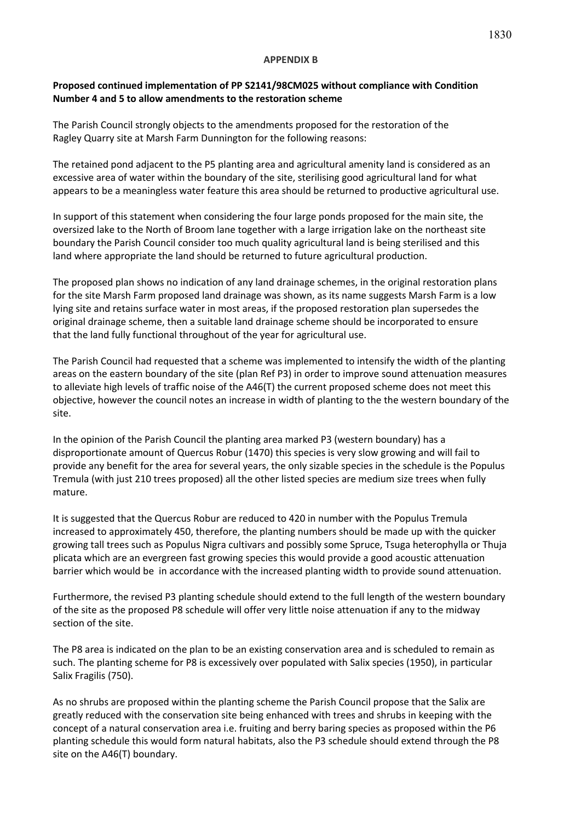### **APPENDIX B**

## **Proposed continued implementation of PP S2141/98CM025 without compliance with Condition Number 4 and 5 to allow amendments to the restoration scheme**

The Parish Council strongly objects to the amendments proposed for the restoration of the Ragley Quarry site at Marsh Farm Dunnington for the following reasons:

The retained pond adjacent to the P5 planting area and agricultural amenity land is considered as an excessive area of water within the boundary of the site, sterilising good agricultural land for what appears to be a meaningless water feature this area should be returned to productive agricultural use.

In support of this statement when considering the four large ponds proposed for the main site, the oversized lake to the North of Broom lane together with a large irrigation lake on the northeast site boundary the Parish Council consider too much quality agricultural land is being sterilised and this land where appropriate the land should be returned to future agricultural production.

The proposed plan shows no indication of any land drainage schemes, in the original restoration plans for the site Marsh Farm proposed land drainage was shown, as its name suggests Marsh Farm is a low lying site and retains surface water in most areas, if the proposed restoration plan supersedes the original drainage scheme, then a suitable land drainage scheme should be incorporated to ensure that the land fully functional throughout of the year for agricultural use.

The Parish Council had requested that a scheme was implemented to intensify the width of the planting areas on the eastern boundary of the site (plan Ref P3) in order to improve sound attenuation measures to alleviate high levels of traffic noise of the A46(T) the current proposed scheme does not meet this objective, however the council notes an increase in width of planting to the the western boundary of the site.

In the opinion of the Parish Council the planting area marked P3 (western boundary) has a disproportionate amount of Quercus Robur (1470) this species is very slow growing and will fail to provide any benefit for the area for several years, the only sizable species in the schedule is the Populus Tremula (with just 210 trees proposed) all the other listed species are medium size trees when fully mature.

It is suggested that the Quercus Robur are reduced to 420 in number with the Populus Tremula increased to approximately 450, therefore, the planting numbers should be made up with the quicker growing tall trees such as Populus Nigra cultivars and possibly some Spruce, Tsuga heterophylla or Thuja plicata which are an evergreen fast growing species this would provide a good acoustic attenuation barrier which would be in accordance with the increased planting width to provide sound attenuation.

Furthermore, the revised P3 planting schedule should extend to the full length of the western boundary of the site as the proposed P8 schedule will offer very little noise attenuation if any to the midway section of the site.

The P8 area is indicated on the plan to be an existing conservation area and is scheduled to remain as such. The planting scheme for P8 is excessively over populated with Salix species (1950), in particular Salix Fragilis (750).

As no shrubs are proposed within the planting scheme the Parish Council propose that the Salix are greatly reduced with the conservation site being enhanced with trees and shrubs in keeping with the concept of a natural conservation area i.e. fruiting and berry baring species as proposed within the P6 planting schedule this would form natural habitats, also the P3 schedule should extend through the P8 site on the A46(T) boundary.